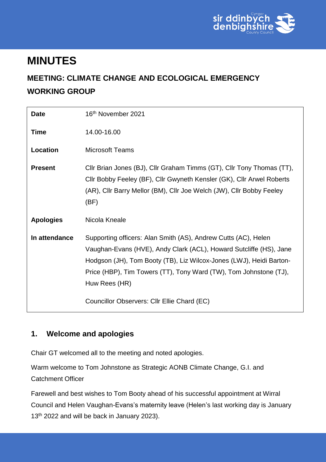

### **MINUTES**

### **MEETING: CLIMATE CHANGE AND ECOLOGICAL EMERGENCY WORKING GROUP**

| <b>Date</b>      | 16 <sup>th</sup> November 2021                                                                                                                                                                                                                                                                    |
|------------------|---------------------------------------------------------------------------------------------------------------------------------------------------------------------------------------------------------------------------------------------------------------------------------------------------|
| <b>Time</b>      | 14.00-16.00                                                                                                                                                                                                                                                                                       |
| Location         | <b>Microsoft Teams</b>                                                                                                                                                                                                                                                                            |
| <b>Present</b>   | Cllr Brian Jones (BJ), Cllr Graham Timms (GT), Cllr Tony Thomas (TT),<br>Cllr Bobby Feeley (BF), Cllr Gwyneth Kensler (GK), Cllr Arwel Roberts<br>(AR), Cllr Barry Mellor (BM), Cllr Joe Welch (JW), Cllr Bobby Feeley<br>(BF)                                                                    |
| <b>Apologies</b> | Nicola Kneale                                                                                                                                                                                                                                                                                     |
| In attendance    | Supporting officers: Alan Smith (AS), Andrew Cutts (AC), Helen<br>Vaughan-Evans (HVE), Andy Clark (ACL), Howard Sutcliffe (HS), Jane<br>Hodgson (JH), Tom Booty (TB), Liz Wilcox-Jones (LWJ), Heidi Barton-<br>Price (HBP), Tim Towers (TT), Tony Ward (TW), Tom Johnstone (TJ),<br>Huw Rees (HR) |
|                  | Councillor Observers: Cllr Ellie Chard (EC)                                                                                                                                                                                                                                                       |

### **1. Welcome and apologies**

Chair GT welcomed all to the meeting and noted apologies.

Warm welcome to Tom Johnstone as Strategic AONB Climate Change, G.I. and Catchment Officer

Farewell and best wishes to Tom Booty ahead of his successful appointment at Wirral Council and Helen Vaughan-Evans's maternity leave (Helen's last working day is January 13<sup>th</sup> 2022 and will be back in January 2023).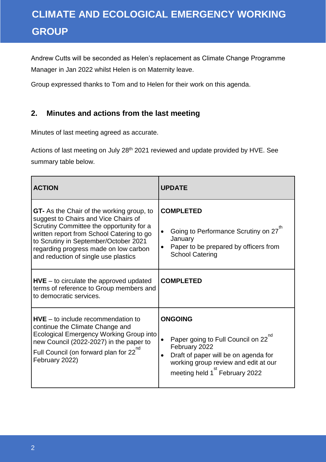Andrew Cutts will be seconded as Helen's replacement as Climate Change Programme Manager in Jan 2022 whilst Helen is on Maternity leave.

Group expressed thanks to Tom and to Helen for their work on this agenda.

### **2. Minutes and actions from the last meeting**

Minutes of last meeting agreed as accurate.

Actions of last meeting on July 28<sup>th</sup> 2021 reviewed and update provided by HVE. See summary table below.

| <b>ACTION</b>                                                                                                                                                                                                                                                                                               | <b>UPDATE</b>                                                                                                                                                                                                    |  |
|-------------------------------------------------------------------------------------------------------------------------------------------------------------------------------------------------------------------------------------------------------------------------------------------------------------|------------------------------------------------------------------------------------------------------------------------------------------------------------------------------------------------------------------|--|
| <b>GT-</b> As the Chair of the working group, to<br>suggest to Chairs and Vice Chairs of<br>Scrutiny Committee the opportunity for a<br>written report from School Catering to go<br>to Scrutiny in September/October 2021<br>regarding progress made on low carbon<br>and reduction of single use plastics | <b>COMPLETED</b><br>Going to Performance Scrutiny on 27 <sup>th</sup><br>January<br>Paper to be prepared by officers from<br><b>School Catering</b>                                                              |  |
| $HVE - to circulate the approved updated$<br>terms of reference to Group members and<br>to democratic services.                                                                                                                                                                                             | <b>COMPLETED</b>                                                                                                                                                                                                 |  |
| $HVE - to include recommendation to$<br>continue the Climate Change and<br><b>Ecological Emergency Working Group into</b><br>new Council (2022-2027) in the paper to<br>Full Council (on forward plan for 22 <sup>nd</sup><br>February 2022)                                                                | <b>ONGOING</b><br>Paper going to Full Council on 22 <sup>nd</sup><br>February 2022<br>Draft of paper will be on agenda for<br>working group review and edit at our<br>meeting held 1 <sup>st</sup> February 2022 |  |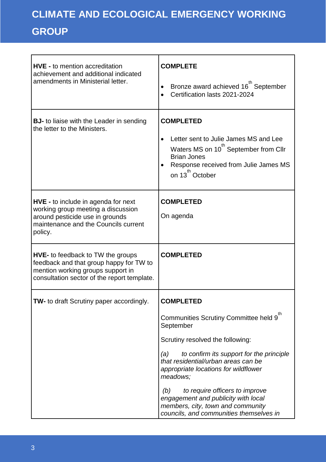| <b>HVE - to mention accreditation</b><br>achievement and additional indicated<br>amendments in Ministerial letter.                                                      | <b>COMPLETE</b><br>Bronze award achieved 16 <sup>th</sup> September<br>Certification lasts 2021-2024                                                                                                         |  |
|-------------------------------------------------------------------------------------------------------------------------------------------------------------------------|--------------------------------------------------------------------------------------------------------------------------------------------------------------------------------------------------------------|--|
| <b>BJ-</b> to liaise with the Leader in sending<br>the letter to the Ministers.                                                                                         | <b>COMPLETED</b><br>Letter sent to Julie James MS and Lee<br>Waters MS on 10 <sup>th</sup> September from Cllr<br><b>Brian Jones</b><br>Response received from Julie James MS<br>on 13 <sup>th</sup> October |  |
| <b>HVE -</b> to include in agenda for next<br>working group meeting a discussion<br>around pesticide use in grounds<br>maintenance and the Councils current<br>policy.  | <b>COMPLETED</b><br>On agenda                                                                                                                                                                                |  |
| <b>HVE-</b> to feedback to TW the groups<br>feedback and that group happy for TW to<br>mention working groups support in<br>consultation sector of the report template. | <b>COMPLETED</b>                                                                                                                                                                                             |  |
| TW- to draft Scrutiny paper accordingly.                                                                                                                                | <b>COMPLETED</b>                                                                                                                                                                                             |  |
|                                                                                                                                                                         | Communities Scrutiny Committee held 9<br>September                                                                                                                                                           |  |
|                                                                                                                                                                         | Scrutiny resolved the following:                                                                                                                                                                             |  |
|                                                                                                                                                                         | to confirm its support for the principle<br>(a)<br>that residential/urban areas can be<br>appropriate locations for wildflower<br>meadows;                                                                   |  |
|                                                                                                                                                                         | (b)<br>to require officers to improve<br>engagement and publicity with local<br>members, city, town and community<br>councils, and communities themselves in                                                 |  |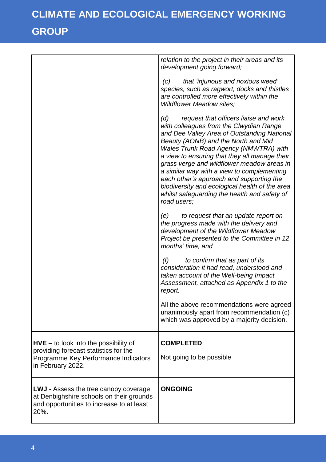|                                                                                                                                               | relation to the project in their areas and its<br>development going forward;                                                                                                                                                                                                                                                                                                                                                                                                                                                            |
|-----------------------------------------------------------------------------------------------------------------------------------------------|-----------------------------------------------------------------------------------------------------------------------------------------------------------------------------------------------------------------------------------------------------------------------------------------------------------------------------------------------------------------------------------------------------------------------------------------------------------------------------------------------------------------------------------------|
|                                                                                                                                               | that 'injurious and noxious weed'<br>(C)<br>species, such as ragwort, docks and thistles<br>are controlled more effectively within the<br><b>Wildflower Meadow sites;</b>                                                                                                                                                                                                                                                                                                                                                               |
|                                                                                                                                               | request that officers liaise and work<br>(d)<br>with colleagues from the Clwydian Range<br>and Dee Valley Area of Outstanding National<br>Beauty (AONB) and the North and Mid<br><b>Wales Trunk Road Agency (NMWTRA) with</b><br>a view to ensuring that they all manage their<br>grass verge and wildflower meadow areas in<br>a similar way with a view to complementing<br>each other's approach and supporting the<br>biodiversity and ecological health of the area<br>whilst safeguarding the health and safety of<br>road users; |
|                                                                                                                                               | to request that an update report on<br>(e)<br>the progress made with the delivery and<br>development of the Wildflower Meadow<br>Project be presented to the Committee in 12<br>months' time, and                                                                                                                                                                                                                                                                                                                                       |
|                                                                                                                                               | (f)<br>to confirm that as part of its<br>consideration it had read, understood and<br>taken account of the Well-being Impact<br>Assessment, attached as Appendix 1 to the<br>report.                                                                                                                                                                                                                                                                                                                                                    |
|                                                                                                                                               | All the above recommendations were agreed<br>unanimously apart from recommendation (c)<br>which was approved by a majority decision.                                                                                                                                                                                                                                                                                                                                                                                                    |
| $HVE -$ to look into the possibility of<br>providing forecast statistics for the<br>Programme Key Performance Indicators<br>in February 2022. | <b>COMPLETED</b><br>Not going to be possible                                                                                                                                                                                                                                                                                                                                                                                                                                                                                            |
| <b>LWJ</b> - Assess the tree canopy coverage<br>at Denbighshire schools on their grounds<br>and opportunities to increase to at least<br>20%. | <b>ONGOING</b>                                                                                                                                                                                                                                                                                                                                                                                                                                                                                                                          |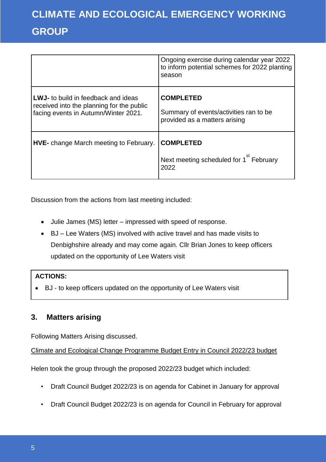|                                                                                                                                 | Ongoing exercise during calendar year 2022<br>to inform potential schemes for 2022 planting<br>season |
|---------------------------------------------------------------------------------------------------------------------------------|-------------------------------------------------------------------------------------------------------|
| <b>LWJ-</b> to build in feedback and ideas<br>received into the planning for the public<br>facing events in Autumn/Winter 2021. | <b>COMPLETED</b><br>Summary of events/activities ran to be<br>provided as a matters arising           |
| <b>HVE-</b> change March meeting to February.                                                                                   | <b>COMPLETED</b><br>Next meeting scheduled for 1 <sup>st</sup> February<br>2022                       |

Discussion from the actions from last meeting included:

- Julie James (MS) letter impressed with speed of response.
- BJ Lee Waters (MS) involved with active travel and has made visits to Denbighshire already and may come again. Cllr Brian Jones to keep officers updated on the opportunity of Lee Waters visit

### **ACTIONS:**

BJ - to keep officers updated on the opportunity of Lee Waters visit

### **3. Matters arising**

Following Matters Arising discussed.

Climate and Ecological Change Programme Budget Entry in Council 2022/23 budget

Helen took the group through the proposed 2022/23 budget which included:

- Draft Council Budget 2022/23 is on agenda for Cabinet in January for approval
- Draft Council Budget 2022/23 is on agenda for Council in February for approval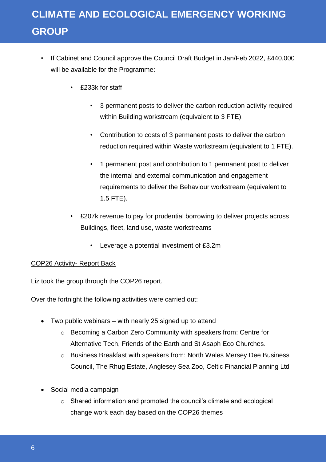- If Cabinet and Council approve the Council Draft Budget in Jan/Feb 2022, £440,000 will be available for the Programme:
	- £233k for staff
		- 3 permanent posts to deliver the carbon reduction activity required within Building workstream (equivalent to 3 FTE).
		- Contribution to costs of 3 permanent posts to deliver the carbon reduction required within Waste workstream (equivalent to 1 FTE).
		- 1 permanent post and contribution to 1 permanent post to deliver the internal and external communication and engagement requirements to deliver the Behaviour workstream (equivalent to 1.5 FTE).
	- £207k revenue to pay for prudential borrowing to deliver projects across Buildings, fleet, land use, waste workstreams
		- Leverage a potential investment of £3.2m

#### COP26 Activity- Report Back

Liz took the group through the COP26 report.

Over the fortnight the following activities were carried out:

- Two public webinars with nearly 25 signed up to attend
	- o Becoming a Carbon Zero Community with speakers from: Centre for Alternative Tech, Friends of the Earth and St Asaph Eco Churches.
	- o Business Breakfast with speakers from: North Wales Mersey Dee Business Council, The Rhug Estate, Anglesey Sea Zoo, Celtic Financial Planning Ltd
- Social media campaign
	- o Shared information and promoted the council's climate and ecological change work each day based on the COP26 themes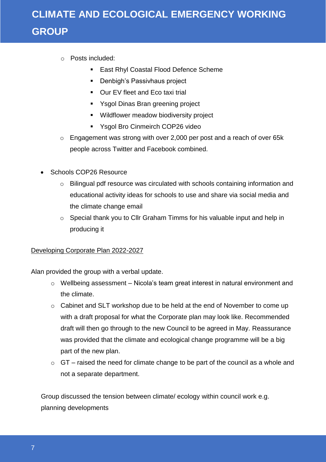- o Posts included:
	- **East Rhyl Coastal Flood Defence Scheme**
	- **Denbigh's Passivhaus project**
	- **Dur EV fleet and Eco taxi trial**
	- Ysgol Dinas Bran greening project
	- **Wildflower meadow biodiversity project**
	- **Yagol Bro Cinmeirch COP26 video**
- o Engagement was strong with over 2,000 per post and a reach of over 65k people across Twitter and Facebook combined.
- Schools COP26 Resource
	- o Bilingual pdf resource was circulated with schools containing information and educational activity ideas for schools to use and share via social media and the climate change email
	- o Special thank you to Cllr Graham Timms for his valuable input and help in producing it

### Developing Corporate Plan 2022-2027

Alan provided the group with a verbal update.

- o Wellbeing assessment Nicola's team great interest in natural environment and the climate.
- o Cabinet and SLT workshop due to be held at the end of November to come up with a draft proposal for what the Corporate plan may look like. Recommended draft will then go through to the new Council to be agreed in May. Reassurance was provided that the climate and ecological change programme will be a big part of the new plan.
- $\circ$  GT raised the need for climate change to be part of the council as a whole and not a separate department.

Group discussed the tension between climate/ ecology within council work e.g. planning developments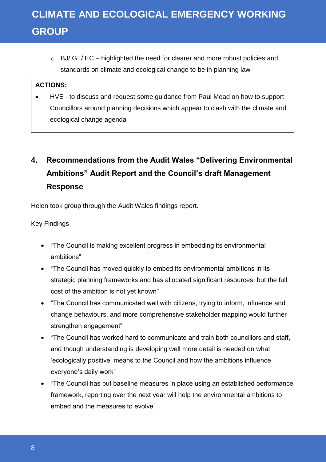$\circ$  BJ/ GT/ EC – highlighted the need for clearer and more robust policies and standards on climate and ecological change to be in planning law

#### **ACTIONS:**

 HVE - to discuss and request some guidance from Paul Mead on how to support Councillors around planning decisions which appear to clash with the climate and ecological change agenda

### **4. Recommendations from the Audit Wales "Delivering Environmental Ambitions" Audit Report and the Council's draft Management Response**

Helen took group through the Audit Wales findings report.

#### Key Findings

- "The Council is making excellent progress in embedding its environmental ambitions"
- "The Council has moved quickly to embed its environmental ambitions in its strategic planning frameworks and has allocated significant resources, but the full cost of the ambition is not yet known"
- "The Council has communicated well with citizens, trying to inform, influence and change behaviours, and more comprehensive stakeholder mapping would further strengthen engagement"
- "The Council has worked hard to communicate and train both councillors and staff, and though understanding is developing well more detail is needed on what 'ecologically positive' means to the Council and how the ambitions influence everyone's daily work"
- "The Council has put baseline measures in place using an established performance framework, reporting over the next year will help the environmental ambitions to embed and the measures to evolve"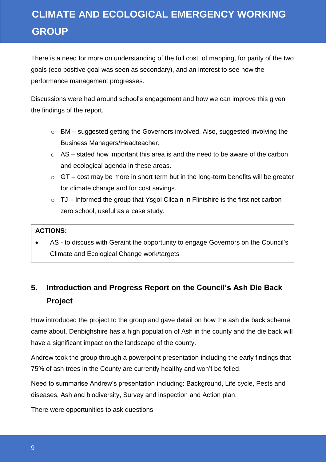There is a need for more on understanding of the full cost, of mapping, for parity of the two goals (eco positive goal was seen as secondary), and an interest to see how the performance management progresses.

Discussions were had around school's engagement and how we can improve this given the findings of the report.

- o BM suggested getting the Governors involved. Also, suggested involving the Business Managers/Headteacher.
- $\circ$  AS stated how important this area is and the need to be aware of the carbon and ecological agenda in these areas.
- $\circ$  GT cost may be more in short term but in the long-term benefits will be greater for climate change and for cost savings.
- $\circ$  TJ Informed the group that Ysgol Cilcain in Flintshire is the first net carbon zero school, useful as a case study.

#### **ACTIONS:**

 AS - to discuss with Geraint the opportunity to engage Governors on the Council's Climate and Ecological Change work/targets

### **5. Introduction and Progress Report on the Council's Ash Die Back Project**

Huw introduced the project to the group and gave detail on how the ash die back scheme came about. Denbighshire has a high population of Ash in the county and the die back will have a significant impact on the landscape of the county.

Andrew took the group through a powerpoint presentation including the early findings that 75% of ash trees in the County are currently healthy and won't be felled.

Need to summarise Andrew's presentation including: Background, Life cycle, Pests and diseases, Ash and biodiversity, Survey and inspection and Action plan.

There were opportunities to ask questions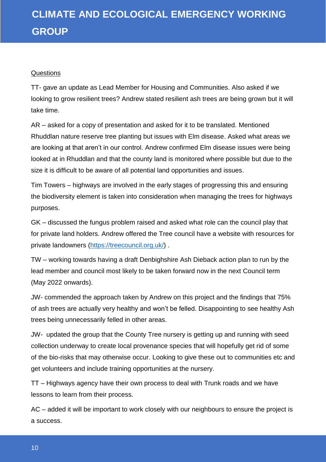#### **Questions**

TT- gave an update as Lead Member for Housing and Communities. Also asked if we looking to grow resilient trees? Andrew stated resilient ash trees are being grown but it will take time.

AR – asked for a copy of presentation and asked for it to be translated. Mentioned Rhuddlan nature reserve tree planting but issues with Elm disease. Asked what areas we are looking at that aren't in our control. Andrew confirmed Elm disease issues were being looked at in Rhuddlan and that the county land is monitored where possible but due to the size it is difficult to be aware of all potential land opportunities and issues.

Tim Towers – highways are involved in the early stages of progressing this and ensuring the biodiversity element is taken into consideration when managing the trees for highways purposes.

GK – discussed the fungus problem raised and asked what role can the council play that for private land holders. Andrew offered the Tree council have a website with resources for private landowners [\(https://treecouncil.org.uk/\)](https://treecouncil.org.uk/) .

TW – working towards having a draft Denbighshire Ash Dieback action plan to run by the lead member and council most likely to be taken forward now in the next Council term (May 2022 onwards).

JW- commended the approach taken by Andrew on this project and the findings that 75% of ash trees are actually very healthy and won't be felled. Disappointing to see healthy Ash trees being unnecessarily felled in other areas.

JW- updated the group that the County Tree nursery is getting up and running with seed collection underway to create local provenance species that will hopefully get rid of some of the bio-risks that may otherwise occur. Looking to give these out to communities etc and get volunteers and include training opportunities at the nursery.

TT – Highways agency have their own process to deal with Trunk roads and we have lessons to learn from their process.

AC – added it will be important to work closely with our neighbours to ensure the project is a success.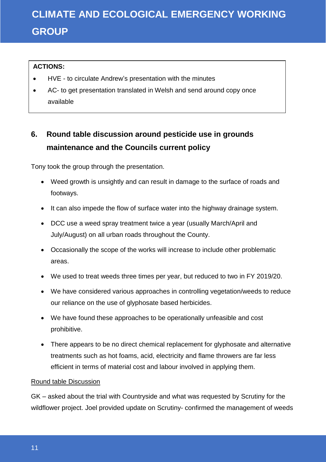### **ACTIONS:**

- HVE to circulate Andrew's presentation with the minutes
- AC- to get presentation translated in Welsh and send around copy once available

### **6. Round table discussion around pesticide use in grounds maintenance and the Councils current policy**

Tony took the group through the presentation.

- Weed growth is unsightly and can result in damage to the surface of roads and footways.
- It can also impede the flow of surface water into the highway drainage system.
- DCC use a weed spray treatment twice a year (usually March/April and July/August) on all urban roads throughout the County.
- Occasionally the scope of the works will increase to include other problematic areas.
- We used to treat weeds three times per year, but reduced to two in FY 2019/20.
- We have considered various approaches in controlling vegetation/weeds to reduce our reliance on the use of glyphosate based herbicides.
- We have found these approaches to be operationally unfeasible and cost prohibitive.
- There appears to be no direct chemical replacement for glyphosate and alternative treatments such as hot foams, acid, electricity and flame throwers are far less efficient in terms of material cost and labour involved in applying them.

### Round table Discussion

GK – asked about the trial with Countryside and what was requested by Scrutiny for the wildflower project. Joel provided update on Scrutiny- confirmed the management of weeds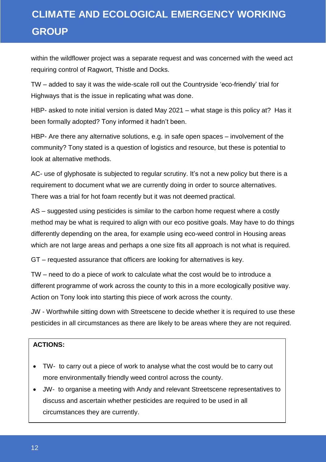within the wildflower project was a separate request and was concerned with the weed act requiring control of Ragwort, Thistle and Docks.

TW – added to say it was the wide-scale roll out the Countryside 'eco-friendly' trial for Highways that is the issue in replicating what was done.

HBP- asked to note initial version is dated May 2021 – what stage is this policy at? Has it been formally adopted? Tony informed it hadn't been.

HBP- Are there any alternative solutions, e.g. in safe open spaces – involvement of the community? Tony stated is a question of logistics and resource, but these is potential to look at alternative methods.

AC- use of glyphosate is subjected to regular scrutiny. It's not a new policy but there is a requirement to document what we are currently doing in order to source alternatives. There was a trial for hot foam recently but it was not deemed practical.

AS – suggested using pesticides is similar to the carbon home request where a costly method may be what is required to align with our eco positive goals. May have to do things differently depending on the area, for example using eco-weed control in Housing areas which are not large areas and perhaps a one size fits all approach is not what is required.

GT – requested assurance that officers are looking for alternatives is key.

TW – need to do a piece of work to calculate what the cost would be to introduce a different programme of work across the county to this in a more ecologically positive way. Action on Tony look into starting this piece of work across the county.

JW - Worthwhile sitting down with Streetscene to decide whether it is required to use these pesticides in all circumstances as there are likely to be areas where they are not required.

#### **ACTIONS:**

- TW- to carry out a piece of work to analyse what the cost would be to carry out more environmentally friendly weed control across the county.
- JW- to organise a meeting with Andy and relevant Streetscene representatives to discuss and ascertain whether pesticides are required to be used in all circumstances they are currently.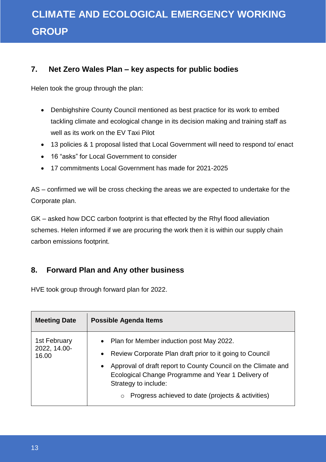### **7. Net Zero Wales Plan – key aspects for public bodies**

Helen took the group through the plan:

- Denbighshire County Council mentioned as best practice for its work to embed tackling climate and ecological change in its decision making and training staff as well as its work on the EV Taxi Pilot
- 13 policies & 1 proposal listed that Local Government will need to respond to/ enact
- 16 "asks" for Local Government to consider
- 17 commitments Local Government has made for 2021-2025

AS – confirmed we will be cross checking the areas we are expected to undertake for the Corporate plan.

GK – asked how DCC carbon footprint is that effected by the Rhyl flood alleviation schemes. Helen informed if we are procuring the work then it is within our supply chain carbon emissions footprint.

### **8. Forward Plan and Any other business**

HVE took group through forward plan for 2022.

| <b>Meeting Date</b>                   | Possible Agenda Items                                                                                                                                                                                                                                                                                                                           |  |
|---------------------------------------|-------------------------------------------------------------------------------------------------------------------------------------------------------------------------------------------------------------------------------------------------------------------------------------------------------------------------------------------------|--|
| 1st February<br>2022, 14.00-<br>16.00 | • Plan for Member induction post May 2022.<br>Review Corporate Plan draft prior to it going to Council<br>$\bullet$<br>Approval of draft report to County Council on the Climate and<br>$\bullet$<br>Ecological Change Programme and Year 1 Delivery of<br>Strategy to include:<br>Progress achieved to date (projects & activities)<br>$\circ$ |  |